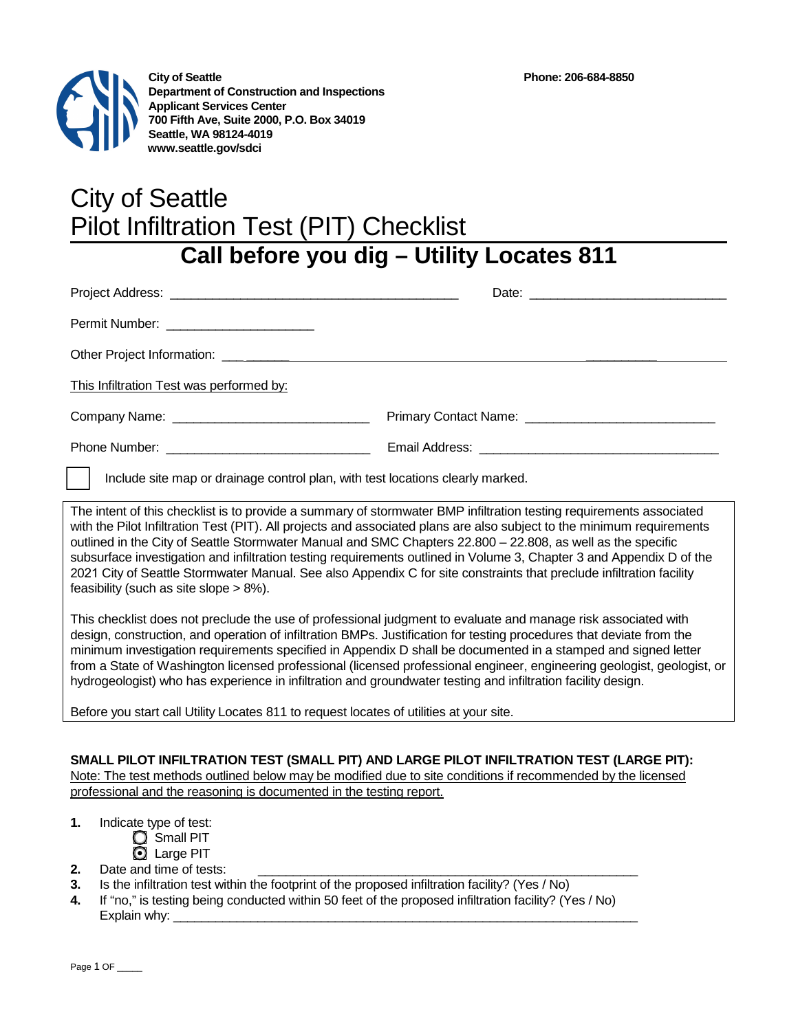

# City of Seattle Pilot Infiltration Test (PIT) Checklist

## **Call before you dig – Utility Locates 811**

| Permit Number: ________________________                                        |  |
|--------------------------------------------------------------------------------|--|
|                                                                                |  |
| This Infiltration Test was performed by:                                       |  |
|                                                                                |  |
|                                                                                |  |
| Include site map or drainage control plan, with test locations clearly marked. |  |

The intent of this checklist is to provide a summary of stormwater BMP infiltration testing requirements associated with the Pilot Infiltration Test (PIT). All projects and associated plans are also subject to the minimum requirements outlined in the City of Seattle Stormwater Manual and SMC Chapters 22.800 – 22.808, as well as the specific subsurface investigation and infiltration testing requirements outlined in Volume 3, Chapter 3 and Appendix D of the 2021 City of Seattle Stormwater Manual. See also Appendix C for site constraints that preclude infiltration facility feasibility (such as site slope > 8%).

This checklist does not preclude the use of professional judgment to evaluate and manage risk associated with design, construction, and operation of infiltration BMPs. Justification for testing procedures that deviate from the minimum investigation requirements specified in Appendix D shall be documented in a stamped and signed letter from a State of Washington licensed professional (licensed professional engineer, engineering geologist, geologist, or hydrogeologist) who has experience in infiltration and groundwater testing and infiltration facility design.

Before you start call Utility Locates 811 to request locates of utilities at your site.

**SMALL PILOT INFILTRATION TEST (SMALL PIT) AND LARGE PILOT INFILTRATION TEST (LARGE PIT):**  Note: The test methods outlined below may be modified due to site conditions if recommended by the licensed professional and the reasoning is documented in the testing report.

- **1.** Indicate type of test:
	- **C** Small PIT
		- **Q** Large PIT
- **2.** Date and time of tests:
- **3.** Is the infiltration test within the footprint of the proposed infiltration facility? (Yes / No)
- **4.** If "no," is testing being conducted within 50 feet of the proposed infiltration facility? (Yes / No) Explain why: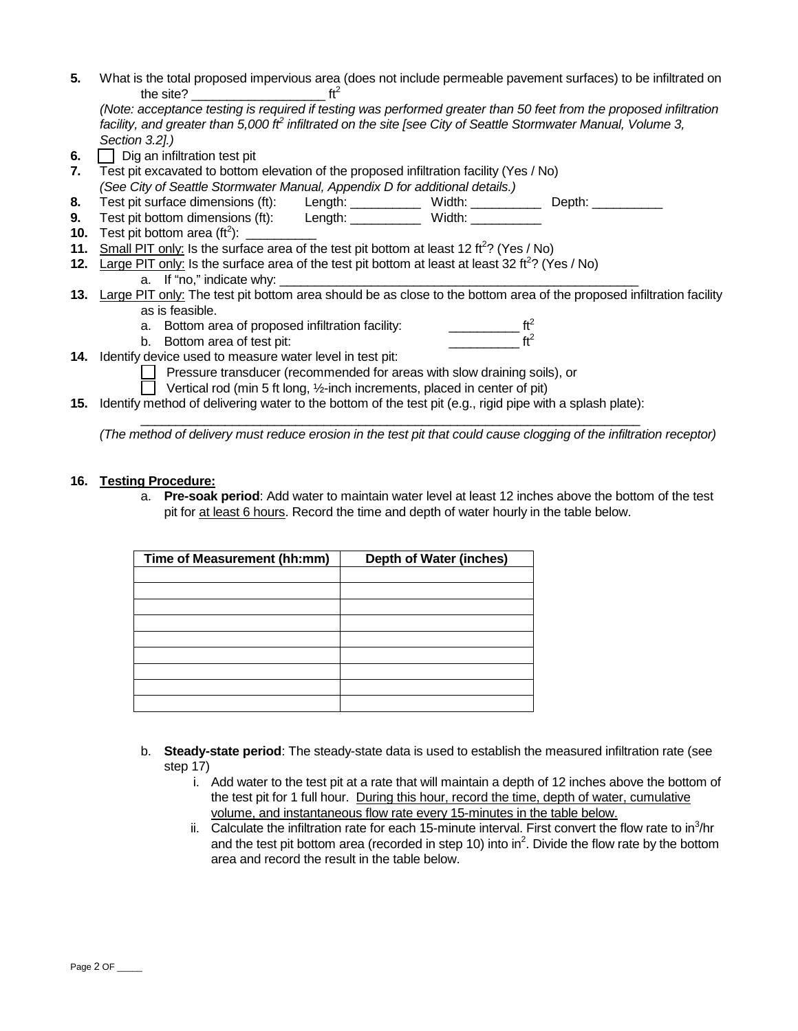- **5.** What is the total proposed impervious area (does not include permeable pavement surfaces) to be infiltrated on the site? the site?  $\blacksquare$ *(Note: acceptance testing is required if testing was performed greater than 50 feet from the proposed infiltration facility, and greater than 5,000 ft2 infiltrated on the site [see City of Seattle Stormwater Manual, Volume 3, Section 3.2].)* **6.**  $\Box$  Dig an infiltration test pit **7.** Test pit excavated to bottom elevation of the proposed infiltration facility (Yes / No)
- *(See City of Seattle Stormwater Manual, Appendix D for additional details.)*
- **8.** Test pit surface dimensions (ft): Length: \_\_\_\_\_\_\_\_\_\_ Width: \_\_\_\_\_\_\_\_\_\_ Depth: \_\_\_\_\_\_\_\_\_\_ **9.** Test pit bottom dimensions (ft): Length: \_\_\_\_\_\_\_\_\_\_\_ Width: \_\_\_\_\_\_\_\_\_\_\_
- **10.** Test pit bottom area (ft<sup>2</sup>):  $\frac{1}{2}$
- **11.** Small PIT only: Is the surface area of the test pit bottom at least 12 ft<sup>2</sup>? (Yes / No)
- **12.** Large PIT only: Is the surface area of the test pit bottom at least at least 32 ft<sup>2</sup>? (Yes / No) a. If "no," indicate why:
- **13.** Large PIT only: The test pit bottom area should be as close to the bottom area of the proposed infiltration facility as is feasible.
	- a. Bottom area of proposed infiltration facility:  $\frac{1}{1}$  ft<sup>2</sup><br>b. Bottom area of test pit:
	- b. Bottom area of test pit:
- **14.** Identify device used to measure water level in test pit:

Pressure transducer (recommended for areas with slow draining soils), or

Vertical rod (min 5 ft long, ½-inch increments, placed in center of pit)

**15.** Identify method of delivering water to the bottom of the test pit (e.g., rigid pipe with a splash plate):

\_\_\_\_\_\_\_\_\_\_\_\_\_\_\_\_\_\_\_\_\_\_\_\_\_\_\_\_\_\_\_\_\_\_\_\_\_\_\_\_\_\_\_\_\_\_\_\_\_\_\_\_\_\_\_\_\_\_\_\_\_\_\_\_\_\_\_\_\_\_\_ *(The method of delivery must reduce erosion in the test pit that could cause clogging of the infiltration receptor)*

### **16. Testing Procedure:**

a. **Pre-soak period**: Add water to maintain water level at least 12 inches above the bottom of the test pit for at least 6 hours. Record the time and depth of water hourly in the table below.

| Time of Measurement (hh:mm) | <b>Depth of Water (inches)</b> |
|-----------------------------|--------------------------------|
|                             |                                |
|                             |                                |
|                             |                                |
|                             |                                |
|                             |                                |
|                             |                                |
|                             |                                |
|                             |                                |
|                             |                                |

- b. **Steady-state period**: The steady-state data is used to establish the measured infiltration rate (see step 17)
	- i. Add water to the test pit at a rate that will maintain a depth of 12 inches above the bottom of the test pit for 1 full hour. During this hour, record the time, depth of water, cumulative volume, and instantaneous flow rate every 15-minutes in the table below.
	- ii. Calculate the infiltration rate for each 15-minute interval. First convert the flow rate to in $3/$ hr and the test pit bottom area (recorded in step 10) into in<sup>2</sup>. Divide the flow rate by the bottom area and record the result in the table below.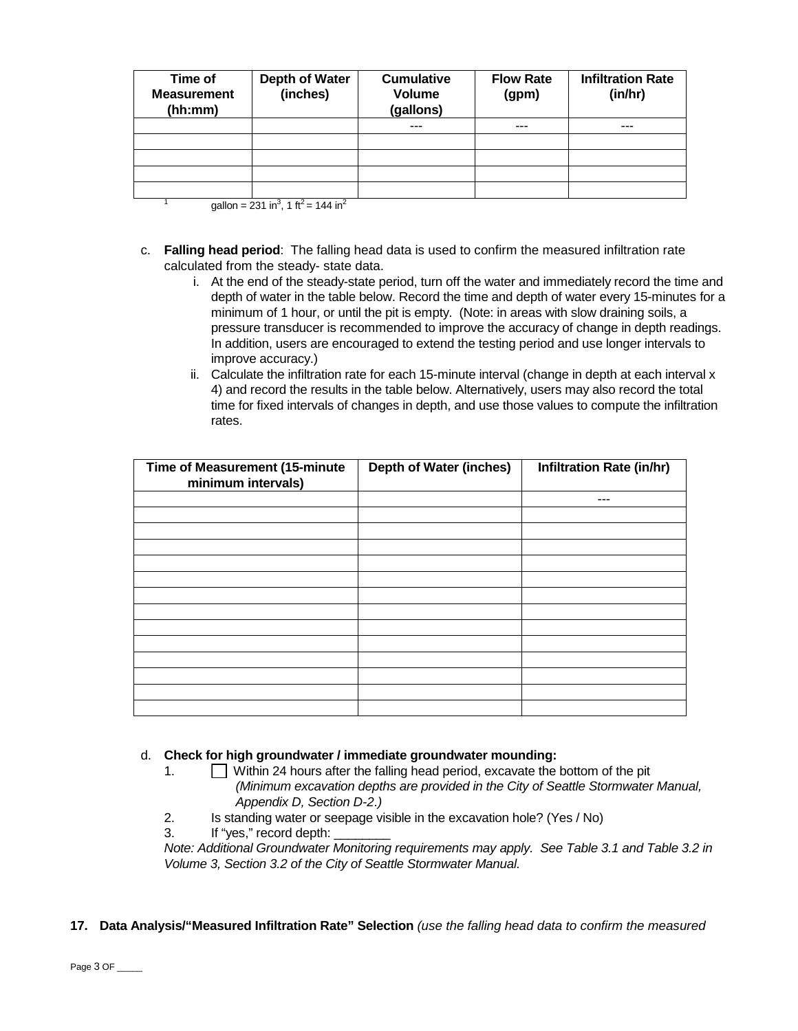| Time of<br><b>Measurement</b><br>(hh:mm) | <b>Depth of Water</b><br>(inches) | <b>Cumulative</b><br><b>Volume</b><br>(gallons) | <b>Flow Rate</b><br>(gpm) | <b>Infiltration Rate</b><br>(in/hr) |
|------------------------------------------|-----------------------------------|-------------------------------------------------|---------------------------|-------------------------------------|
|                                          |                                   | $- - -$                                         | ---                       | ---                                 |
|                                          |                                   |                                                 |                           |                                     |
|                                          |                                   |                                                 |                           |                                     |
|                                          |                                   |                                                 |                           |                                     |
|                                          |                                   |                                                 |                           |                                     |

<sup>1</sup> gallon = 231 in<sup>3</sup>, 1 ft<sup>2</sup> = 144 in<sup>2</sup>

- c. **Falling head period**: The falling head data is used to confirm the measured infiltration rate calculated from the steady- state data.
	- i. At the end of the steady-state period, turn off the water and immediately record the time and depth of water in the table below. Record the time and depth of water every 15-minutes for a minimum of 1 hour, or until the pit is empty. (Note: in areas with slow draining soils, a pressure transducer is recommended to improve the accuracy of change in depth readings. In addition, users are encouraged to extend the testing period and use longer intervals to improve accuracy.)
	- ii. Calculate the infiltration rate for each 15-minute interval (change in depth at each interval  $x$ 4) and record the results in the table below. Alternatively, users may also record the total time for fixed intervals of changes in depth, and use those values to compute the infiltration rates.

| Time of Measurement (15-minute<br>minimum intervals) | <b>Depth of Water (inches)</b> | Infiltration Rate (in/hr) |
|------------------------------------------------------|--------------------------------|---------------------------|
|                                                      |                                | ---                       |
|                                                      |                                |                           |
|                                                      |                                |                           |
|                                                      |                                |                           |
|                                                      |                                |                           |
|                                                      |                                |                           |
|                                                      |                                |                           |
|                                                      |                                |                           |
|                                                      |                                |                           |
|                                                      |                                |                           |
|                                                      |                                |                           |
|                                                      |                                |                           |
|                                                      |                                |                           |
|                                                      |                                |                           |

#### d. **Check for high groundwater / immediate groundwater mounding:**

- 1. Within 24 hours after the falling head period, excavate the bottom of the pit *(Minimum excavation depths are provided in the City of Seattle Stormwater Manual, Appendix D, Section D-2.)*
- 2. Is standing water or seepage visible in the excavation hole? (Yes / No)
- 3. If "yes," record depth:

*Note: Additional Groundwater Monitoring requirements may apply. See Table 3.1 and Table 3.2 in Volume 3, Section 3.2 of the City of Seattle Stormwater Manual.*

#### **17. Data Analysis/"Measured Infiltration Rate" Selection** *(use the falling head data to confirm the measured*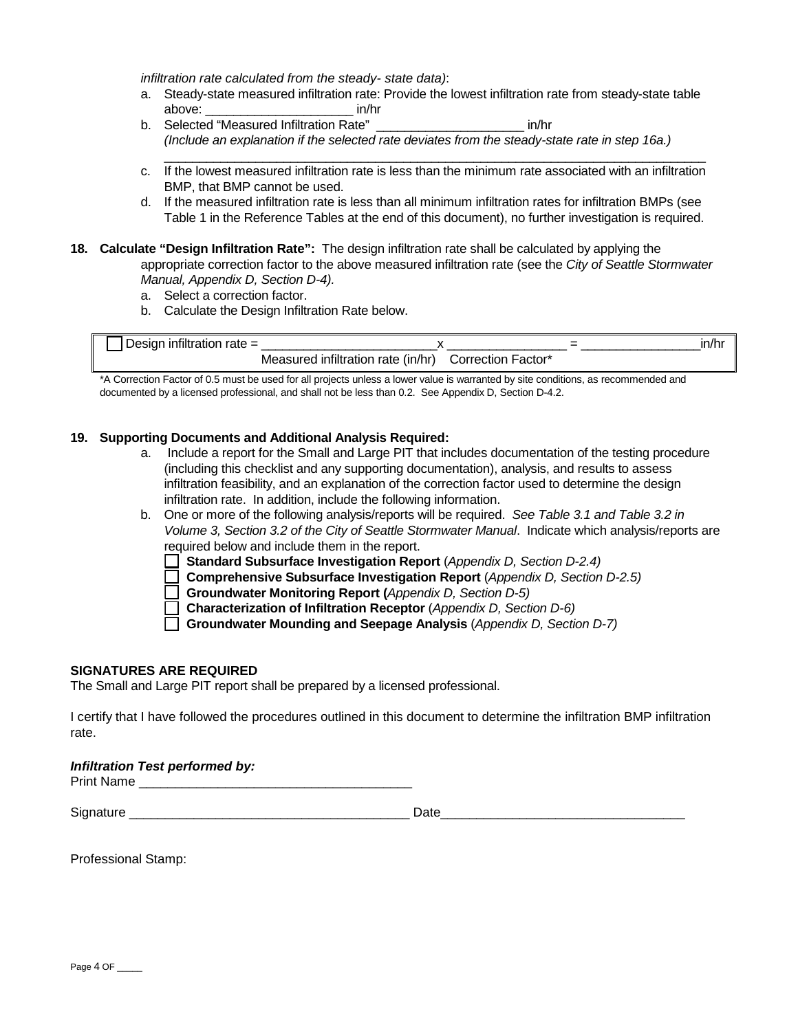*infiltration rate calculated from the steady- state data)*:

- a. Steady-state measured infiltration rate: Provide the lowest infiltration rate from steady-state table above:  $\qquad \qquad$  in/hr
- b. Selected "Measured Infiltration Rate" \_\_\_\_\_\_\_\_\_\_\_\_\_\_\_\_\_\_\_\_\_ in/hr *(Include an explanation if the selected rate deviates from the steady-state rate in step 16a.)*
- $\mathcal{L}_\mathcal{L} = \{ \mathcal{L}_\mathcal{L} = \{ \mathcal{L}_\mathcal{L} = \{ \mathcal{L}_\mathcal{L} = \{ \mathcal{L}_\mathcal{L} = \{ \mathcal{L}_\mathcal{L} = \{ \mathcal{L}_\mathcal{L} = \{ \mathcal{L}_\mathcal{L} = \{ \mathcal{L}_\mathcal{L} = \{ \mathcal{L}_\mathcal{L} = \{ \mathcal{L}_\mathcal{L} = \{ \mathcal{L}_\mathcal{L} = \{ \mathcal{L}_\mathcal{L} = \{ \mathcal{L}_\mathcal{L} = \{ \mathcal{L}_\mathcal{$ c. If the lowest measured infiltration rate is less than the minimum rate associated with an infiltration BMP, that BMP cannot be used.
- d. If the measured infiltration rate is less than all minimum infiltration rates for infiltration BMPs (see Table 1 in the Reference Tables at the end of this document), no further investigation is required.
- **18. Calculate "Design Infiltration Rate":** The design infiltration rate shall be calculated by applying the appropriate correction factor to the above measured infiltration rate (see the *City of Seattle Stormwater Manual, Appendix D, Section D-4).* 
	- a. Select a correction factor.
	- b. Calculate the Design Infiltration Rate below.

| Design infiltration rate = |                                    |                    | ın/hr |
|----------------------------|------------------------------------|--------------------|-------|
|                            | Measured infiltration rate (in/hr) | Correction Factor* |       |

\*A Correction Factor of 0.5 must be used for all projects unless a lower value is warranted by site conditions, as recommended and documented by a licensed professional, and shall not be less than 0.2. See Appendix D, Section D-4.2.

#### **19. Supporting Documents and Additional Analysis Required:**

- a. Include a report for the Small and Large PIT that includes documentation of the testing procedure (including this checklist and any supporting documentation), analysis, and results to assess infiltration feasibility, and an explanation of the correction factor used to determine the design infiltration rate. In addition, include the following information.
- b. One or more of the following analysis/reports will be required. *See Table 3.1 and Table 3.2 in Volume 3, Section 3.2 of the City of Seattle Stormwater Manual*. Indicate which analysis/reports are required below and include them in the report.
	- **Standard Subsurface Investigation Report** (*Appendix D, Section D-2.4)*
	- **Comprehensive Subsurface Investigation Report** (*Appendix D, Section D-2.5)*
	- **Groundwater Monitoring Report (***Appendix D, Section D-5)*
	- **Characterization of Infiltration Receptor** (*Appendix D, Section D-6)*
	- **Groundwater Mounding and Seepage Analysis** (*Appendix D, Section D-7)*

#### **SIGNATURES ARE REQUIRED**

The Small and Large PIT report shall be prepared by a licensed professional.

I certify that I have followed the procedures outlined in this document to determine the infiltration BMP infiltration rate.

#### *Infiltration Test performed by:*

Print Name

Signature \_\_\_\_\_\_\_\_\_\_\_\_\_\_\_\_\_\_\_\_\_\_\_\_\_\_\_\_\_\_\_\_\_\_\_\_\_\_\_ Date\_\_\_\_\_\_\_\_\_\_\_\_\_\_\_\_\_\_\_\_\_\_\_\_\_\_\_\_\_\_\_\_\_\_

Professional Stamp: